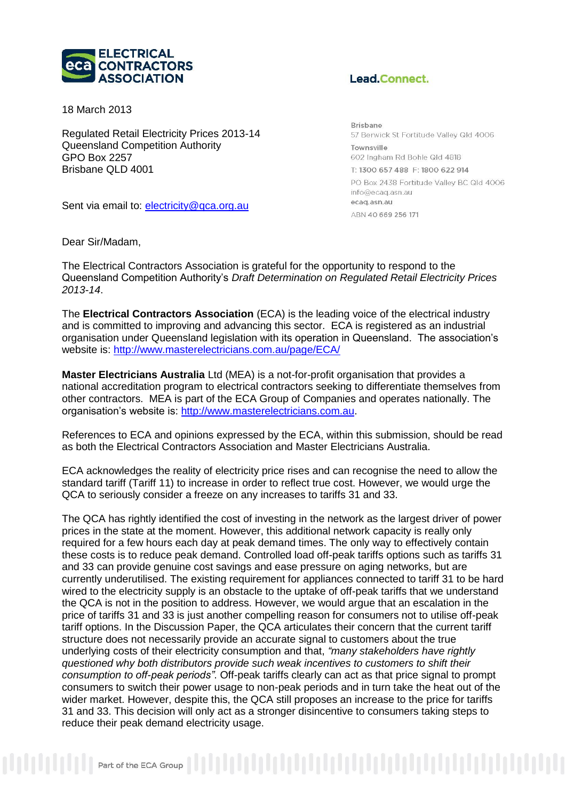

18 March 2013

Regulated Retail Electricity Prices 2013-14 Queensland Competition Authority GPO Box 2257 Brisbane QLD 4001

Sent via email to: [electricity@qca.org.au](mailto:electricity@qca.org.au)

## Lead.Connect.

**Brisbane** 57 Berwick St Fortitude Valley Qld 4006 Townsville 602 Ingham Rd Bohle Qld 4818 T: 1300 657 488 F: 1800 622 914 PO Box 2438 Fortitude Valley BC Qld 4006 info@ecaq.asn.au ecaq.asn.au ARN 40 669 256 171

Dear Sir/Madam,

The Electrical Contractors Association is grateful for the opportunity to respond to the Queensland Competition Authority's *Draft Determination on Regulated Retail Electricity Prices 2013-14*.

The **Electrical Contractors Association** (ECA) is the leading voice of the electrical industry and is committed to improving and advancing this sector. ECA is registered as an industrial organisation under Queensland legislation with its operation in Queensland. The association's website is:<http://www.masterelectricians.com.au/page/ECA/>

**Master Electricians Australia** Ltd (MEA) is a not-for-profit organisation that provides a national accreditation program to electrical contractors seeking to differentiate themselves from other contractors. MEA is part of the ECA Group of Companies and operates nationally. The organisation's website is: [http://www.masterelectricians.com.au.](http://www.masterelectricians.com.au/page/ECA/)

References to ECA and opinions expressed by the ECA, within this submission, should be read as both the Electrical Contractors Association and Master Electricians Australia.

ECA acknowledges the reality of electricity price rises and can recognise the need to allow the standard tariff (Tariff 11) to increase in order to reflect true cost. However, we would urge the QCA to seriously consider a freeze on any increases to tariffs 31 and 33.

The QCA has rightly identified the cost of investing in the network as the largest driver of power prices in the state at the moment. However, this additional network capacity is really only required for a few hours each day at peak demand times. The only way to effectively contain these costs is to reduce peak demand. Controlled load off-peak tariffs options such as tariffs 31 and 33 can provide genuine cost savings and ease pressure on aging networks, but are currently underutilised. The existing requirement for appliances connected to tariff 31 to be hard wired to the electricity supply is an obstacle to the uptake of off-peak tariffs that we understand the QCA is not in the position to address. However, we would argue that an escalation in the price of tariffs 31 and 33 is just another compelling reason for consumers not to utilise off-peak tariff options. In the Discussion Paper, the QCA articulates their concern that the current tariff structure does not necessarily provide an accurate signal to customers about the true underlying costs of their electricity consumption and that, *"many stakeholders have rightly questioned why both distributors provide such weak incentives to customers to shift their consumption to off-peak periods"*. Off-peak tariffs clearly can act as that price signal to prompt consumers to switch their power usage to non-peak periods and in turn take the heat out of the wider market. However, despite this, the QCA still proposes an increase to the price for tariffs 31 and 33. This decision will only act as a stronger disincentive to consumers taking steps to reduce their peak demand electricity usage.

 $\begin{smallmatrix} \begin{smallmatrix} \begin{smallmatrix} \begin{smallmatrix} \begin{smallmatrix} \end{smallmatrix} \end{smallmatrix} \end{smallmatrix} \end{smallmatrix} \end{smallmatrix} \end{smallmatrix} \end{smallmatrix} \begin{smallmatrix} \begin{smallmatrix} \begin{smallmatrix} \end{smallmatrix} \end{smallmatrix} \end{smallmatrix} \begin{smallmatrix} \begin{smallmatrix} \end{smallmatrix} \end{smallmatrix} \end{smallmatrix} \begin{smallmatrix} \begin{smallmatrix} \begin{smallmatrix} \end{smallmatrix} \end{smallmatrix} \end{smallmatrix} \begin{smallmatrix} \begin{smallmatrix} \begin{smallmatrix} \end{smallmatrix} \end{smallmatrix} \end{smallmatrix} \begin{smallmatrix} \begin{small$